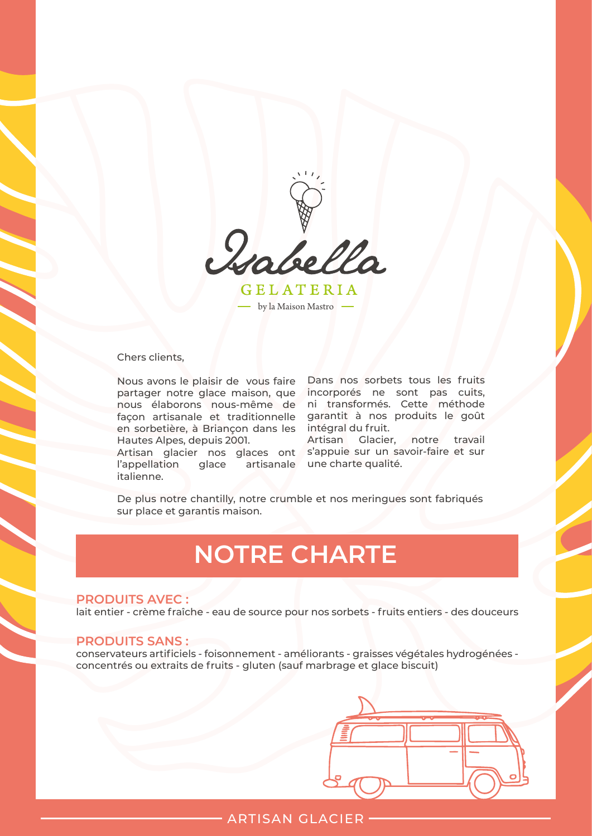

GELATERIA by la Maison Mastro

Chers clients,

partager notre glace maison, que incorporés ne sont pas cuits, nous élaborons nous-même de ni transformés. Cette méthode façon artisanale et traditionnelle en sorbetière, à Briançon dans les Hautes Alpes, depuis 2001.

Artisan glacier nos glaces ont s'appuie sur un savoir-faire et sur l'appellation glace italienne.

Nous avons le plaisir de vous faire Dans nos sorbets tous les fruits garantit à nos produits le goût intégral du fruit.

> Artisan Glacier, notre travail artisanale une charte qualité.

De plus notre chantilly, notre crumble et nos meringues sont fabriqués sur place et garantis maison.

## **NOTRE CHARTE**

### **PRODUITS AVEC :**

lait entier - crème fraîche - eau de source pour nos sorbets - fruits entiers - des douceurs

### **PRODUITS SANS :**

conservateurs artificiels - foisonnement - améliorants - graisses végétales hydrogénées concentrés ou extraits de fruits - gluten (sauf marbrage et glace biscuit)

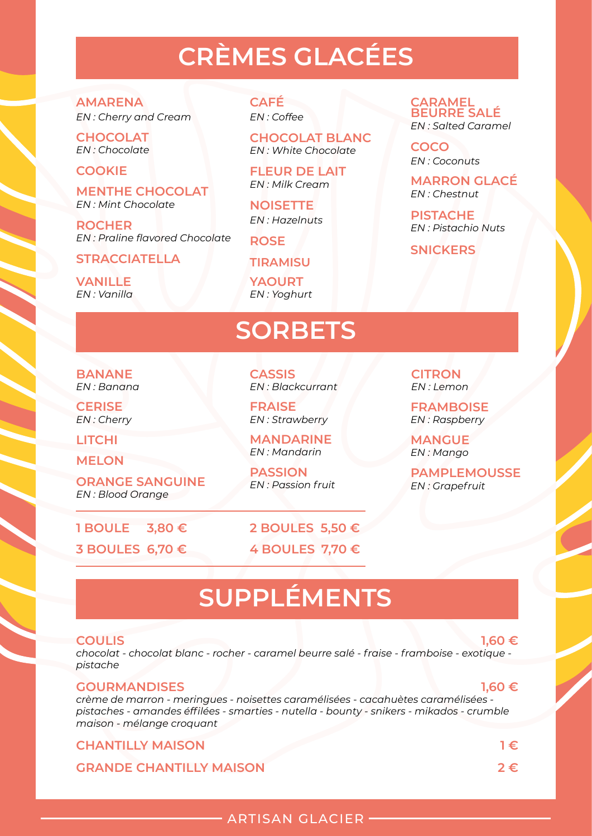## **CRÈMES GLACÉES**

**AMARENA** *EN : Cherry and Cream*

**CHOCOLAT** *EN : Chocolate*

### **COOKIE**

**MENTHE CHOCOLAT** *EN : Mint Chocolate*

**ROCHER** *EN : Praline flavored Chocolate*

**STRACCIATELLA**

**VANILLE** *EN : Vanilla*

**CAFÉ** *EN : Coffee*

**CHOCOLAT BLANC** *EN : White Chocolate*

**FLEUR DE LAIT** *EN : Milk Cream*

**NOISETTE** *EN : Hazelnuts*

**ROSE**

**TIRAMISU**

**YAOURT** *EN : Yoghurt*

## **SORBETS**

**BANANE** *EN : Banana*

**CERISE** *EN : Cherry*

**ORANGE SANGUINE** *EN : Blood Orange*

**1 BOULE 3,80 € 2 BOULES 5,50 €**

**CASSIS** *EN : Blackcurrant*

**FRAISE** *EN : Strawberry*

**LITCHI MANGUE MANDARINE** *EN : Mango* **MELON** *EN : Mandarin*

**PASSION** *EN : Passion fruit*

**3 BOULES 6,70 € 4 BOULES 7,70 €**

**CARAMEL BEURRE SALÉ**  *EN : Salted Caramel*

**COCO** *EN : Coconuts*

**MARRON GLACÉ** *EN : Chestnut*

**PISTACHE** *EN : Pistachio Nuts*

**SNICKERS**

**CITRON** *EN : Lemon*

**FRAMBOISE** *EN : Raspberry*

**PAMPLEMOUSSE** *EN : Grapefruit*

## **SUPPLÉMENTS**

### **COULIS 1,60 €**

*chocolat - chocolat blanc - rocher - caramel beurre salé - fraise - framboise - exotique pistache*

### **GOURMANDISES 1,60 €**

*crème de marron - meringues - noisettes caramélisées - cacahuètes caramélisées pistaches - amandes éffilées - smarties - nutella - bounty - snikers - mikados - crumble maison - mélange croquant* 

**CHANTILLY MAISON** 1 €

**GRANDE CHANTILLY MAISON 2 €**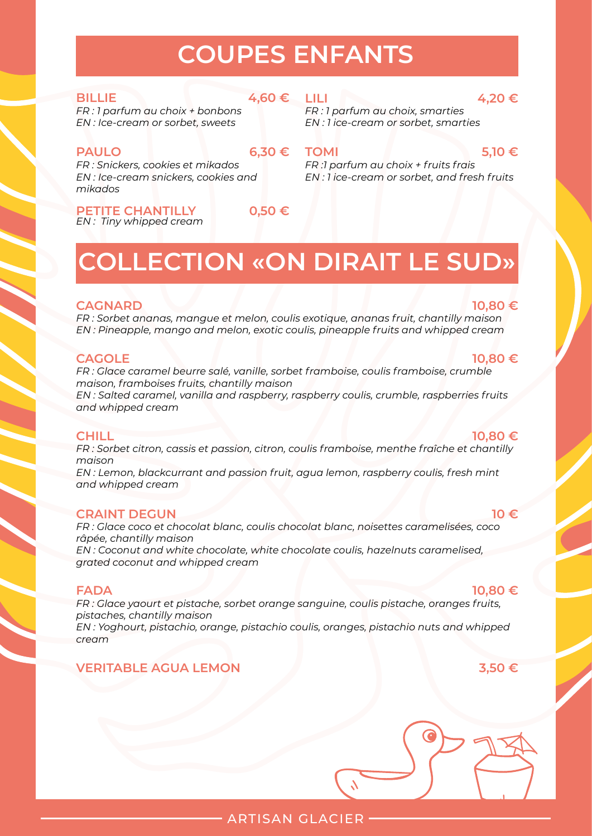## **COUPES ENFANTS**

### **BILLIE 4,60 €**

**LILI 4,20 €**

*FR : 1 parfum au choix + bonbons EN : Ice-cream or sorbet, sweets*

## *FR : 1 parfum au choix, smarties*

*EN : 1 ice-cream or sorbet, smarties* 

**PAULO 6,30 €**

**TOMI 5,10 €** *FR :1 parfum au choix + fruits frais EN : 1 ice-cream or sorbet, and fresh fruits*

*FR : Snickers, cookies et mikados EN : Ice-cream snickers, cookies and mikados*

**PETITE CHANTILLY 0,50 €** *EN : Tiny whipped cream*

# **COLLECTION «ON DIRAIT LE SUD»**

### **CAGNARD 10,80 €**

*FR : Sorbet ananas, mangue et melon, coulis exotique, ananas fruit, chantilly maison EN : Pineapple, mango and melon, exotic coulis, pineapple fruits and whipped cream*

*FR : Glace caramel beurre salé, vanille, sorbet framboise, coulis framboise, crumble maison, framboises fruits, chantilly maison*

*EN : Salted caramel, vanilla and raspberry, raspberry coulis, crumble, raspberries fruits and whipped cream*

**CHILL 10,80 €** *FR : Sorbet citron, cassis et passion, citron, coulis framboise, menthe fraîche et chantilly maison EN : Lemon, blackcurrant and passion fruit, agua lemon, raspberry coulis, fresh mint* 

*and whipped cream*

### **CRAINT DEGUN 10 €**

*FR : Glace coco et chocolat blanc, coulis chocolat blanc, noisettes caramelisées, coco râpée, chantilly maison EN : Coconut and white chocolate, white chocolate coulis, hazelnuts caramelised,* 

*grated coconut and whipped cream*

### **FADA 10,80 €**

*FR : Glace yaourt et pistache, sorbet orange sanguine, coulis pistache, oranges fruits, pistaches, chantilly maison EN : Yoghourt, pistachio, orange, pistachio coulis, oranges, pistachio nuts and whipped cream*

### **VERITABLE AGUA LEMON 3,50 €**

## **CAGOLE 10,80 €**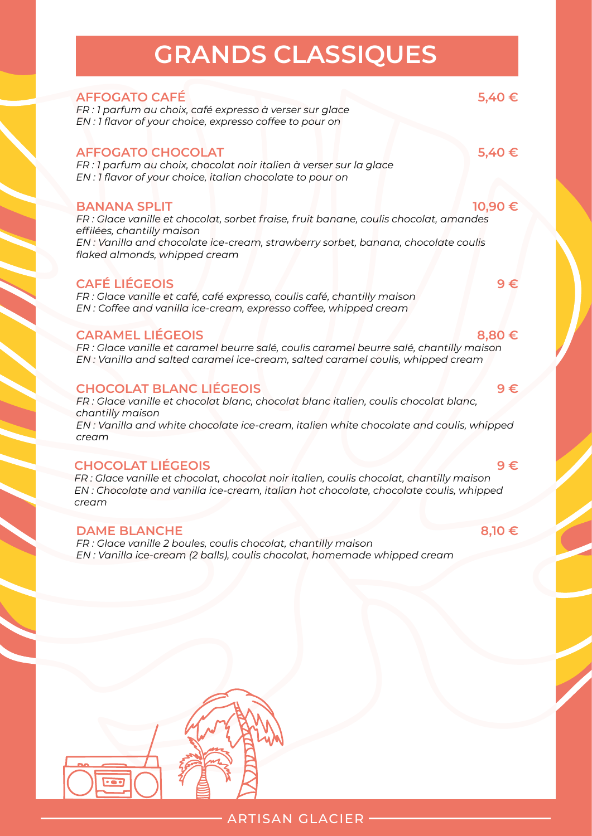## **GRANDS CLASSIQUES**

### **AFFOGATO CAFÉ** 5,40 €

*FR : 1 parfum au choix, café expresso à verser sur glace EN : 1 flavor of your choice, expresso coffee to pour on*

### **AFFOGATO CHOCOLAT 5,40 €**

*FR : 1 parfum au choix, chocolat noir italien à verser sur la glace EN : 1 flavor of your choice, italian chocolate to pour on*

### **BANANA SPLIT 10,90 €**

*FR : Glace vanille et chocolat, sorbet fraise, fruit banane, coulis chocolat, amandes effilées, chantilly maison EN : Vanilla and chocolate ice-cream, strawberry sorbet, banana, chocolate coulis flaked almonds, whipped cream*

### **CAFÉ LIÉGEOIS 9 €**

*FR : Glace vanille et café, café expresso, coulis café, chantilly maison EN : Coffee and vanilla ice-cream, expresso coffee, whipped cream*

### **CARAMEL LIÉGEOIS 8,80 €**

*FR : Glace vanille et caramel beurre salé, coulis caramel beurre salé, chantilly maison EN : Vanilla and salted caramel ice-cream, salted caramel coulis, whipped cream*

### **CHOCOLAT BLANC LIÉGEOIS 9 €**

*FR : Glace vanille et chocolat blanc, chocolat blanc italien, coulis chocolat blanc, chantilly maison EN : Vanilla and white chocolate ice-cream, italien white chocolate and coulis, whipped cream*

### **CHOCOLAT LIÉGEOIS 9 €**

*FR : Glace vanille et chocolat, chocolat noir italien, coulis chocolat, chantilly maison EN : Chocolate and vanilla ice-cream, italian hot chocolate, chocolate coulis, whipped cream*

### **DAME BLANCHE** 8,10 €

*FR : Glace vanille 2 boules, coulis chocolat, chantilly maison EN : Vanilla ice-cream (2 balls), coulis chocolat, homemade whipped cream*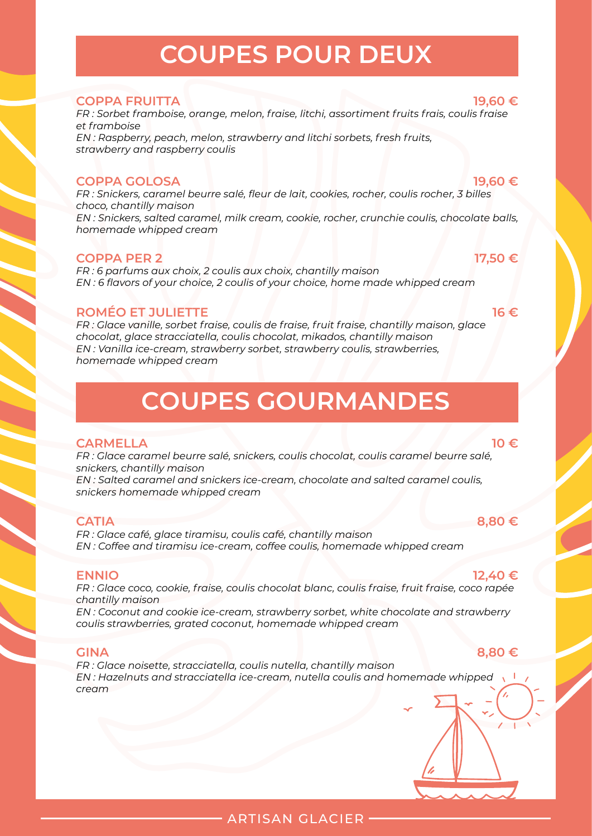## **COUPES POUR DEUX**

### **COPPA FRUITTA 19,60 €**

*FR : Sorbet framboise, orange, melon, fraise, litchi, assortiment fruits frais, coulis fraise et framboise EN : Raspberry, peach, melon, strawberry and litchi sorbets, fresh fruits, strawberry and raspberry coulis*

### **COPPA GOLOSA 19,60 €**

*FR : Snickers, caramel beurre salé, fleur de lait, cookies, rocher, coulis rocher, 3 billes choco, chantilly maison EN : Snickers, salted caramel, milk cream, cookie, rocher, crunchie coulis, chocolate balls, homemade whipped cream*

### **COPPA PER 2 17,50 €**

*FR : 6 parfums aux choix, 2 coulis aux choix, chantilly maison EN : 6 flavors of your choice, 2 coulis of your choice, home made whipped cream*

### **ROMÉO ET JULIETTE 16 €**

*FR : Glace vanille, sorbet fraise, coulis de fraise, fruit fraise, chantilly maison, glace chocolat, glace stracciatella, coulis chocolat, mikados, chantilly maison EN : Vanilla ice-cream, strawberry sorbet, strawberry coulis, strawberries, homemade whipped cream*

## **COUPES GOURMANDES**

### **CARMELLA 10 €**

*FR : Glace caramel beurre salé, snickers, coulis chocolat, coulis caramel beurre salé, snickers, chantilly maison*

*EN : Salted caramel and snickers ice-cream, chocolate and salted caramel coulis, snickers homemade whipped cream*

### **CATIA 8,80 €**

*FR : Glace café, glace tiramisu, coulis café, chantilly maison EN : Coffee and tiramisu ice-cream, coffee coulis, homemade whipped cream*

### **ENNIO 12,40 €**

*FR : Glace coco, cookie, fraise, coulis chocolat blanc, coulis fraise, fruit fraise, coco rapée chantilly maison*

*EN : Coconut and cookie ice-cream, strawberry sorbet, white chocolate and strawberry coulis strawberries, grated coconut, homemade whipped cream*

### **GINA** 8,80 €

*FR : Glace noisette, stracciatella, coulis nutella, chantilly maison EN : Hazelnuts and stracciatella ice-cream, nutella coulis and homemade whipped cream*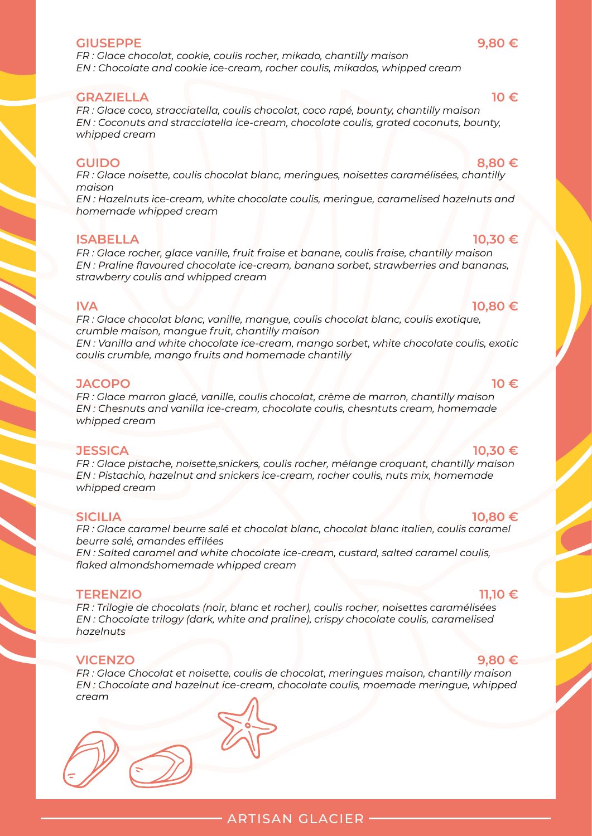### **GIUSEPPE 9,80 €**

*FR : Glace chocolat, cookie, coulis rocher, mikado, chantilly maison EN : Chocolate and cookie ice-cream, rocher coulis, mikados, whipped cream*

### **GRAZIELLA 10 €**

*FR : Glace coco, stracciatella, coulis chocolat, coco rapé, bounty, chantilly maison EN : Coconuts and stracciatella ice-cream, chocolate coulis, grated coconuts, bounty, whipped cream*

### **GUIDO 8,80 €**

*FR : Glace noisette, coulis chocolat blanc, meringues, noisettes caramélisées, chantilly maison*

*EN : Hazelnuts ice-cream, white chocolate coulis, meringue, caramelised hazelnuts and homemade whipped cream*

### **ISABELLA 10,30 €**

*FR : Glace rocher, glace vanille, fruit fraise et banane, coulis fraise, chantilly maison EN : Praline flavoured chocolate ice-cream, banana sorbet, strawberries and bananas, strawberry coulis and whipped cream*

**IVA 10,80 €** *FR : Glace chocolat blanc, vanille, mangue, coulis chocolat blanc, coulis exotique, crumble maison, mangue fruit, chantilly maison EN : Vanilla and white chocolate ice-cream, mango sorbet, white chocolate coulis, exotic coulis crumble, mango fruits and homemade chantilly*

### **JACOPO 10 €**

*FR : Glace marron glacé, vanille, coulis chocolat, crème de marron, chantilly maison EN : Chesnuts and vanilla ice-cream, chocolate coulis, chesntuts cream, homemade whipped cream*

### **JESSICA 10,30 €**

*FR : Glace pistache, noisette,snickers, coulis rocher, mélange croquant, chantilly maison EN : Pistachio, hazelnut and snickers ice-cream, rocher coulis, nuts mix, homemade whipped cream*

*FR : Glace caramel beurre salé et chocolat blanc, chocolat blanc italien, coulis caramel beurre salé, amandes effilées* 

*EN : Salted caramel and white chocolate ice-cream, custard, salted caramel coulis, flaked almondshomemade whipped cream*

*FR : Trilogie de chocolats (noir, blanc et rocher), coulis rocher, noisettes caramélisées EN : Chocolate trilogy (dark, white and praline), crispy chocolate coulis, caramelised hazelnuts*

**VICENZO 9,80 €** *FR : Glace Chocolat et noisette, coulis de chocolat, meringues maison, chantilly maison EN : Chocolate and hazelnut ice-cream, chocolate coulis, moemade meringue, whipped cream*



### **TERENZIO 11,10 €**

### **SICILIA 10,80 €**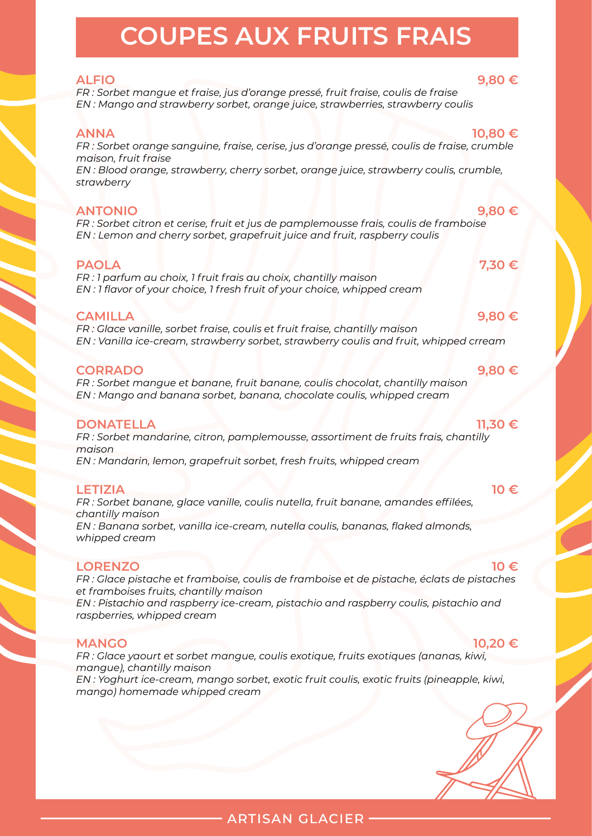## **COUPES AUX FRUITS FRAIS**

**ALFIO 9,80 €** *FR : Sorbet mangue et fraise, jus d'orange pressé, fruit fraise, coulis de fraise EN : Mango and strawberry sorbet, orange juice, strawberries, strawberry coulis*

**ANNA 10,80 €** *FR : Sorbet orange sanguine, fraise, cerise, jus d'orange pressé, coulis de fraise, crumble maison, fruit fraise EN : Blood orange, strawberry, cherry sorbet, orange juice, strawberry coulis, crumble, strawberry*

### **ANTONIO 9,80 €**

*FR : Sorbet citron et cerise, fruit et jus de pamplemousse frais, coulis de framboise EN : Lemon and cherry sorbet, grapefruit juice and fruit, raspberry coulis*

### **PAOLA 7,30 €**

*FR : 1 parfum au choix, 1 fruit frais au choix, chantilly maison EN : 1 flavor of your choice, 1 fresh fruit of your choice, whipped cream*

### **CAMILLA 9,80 €**

*FR : Glace vanille, sorbet fraise, coulis et fruit fraise, chantilly maison EN : Vanilla ice-cream, strawberry sorbet, strawberry coulis and fruit, whipped crream*

### **CORRADO 9,80 €**

*FR : Sorbet mangue et banane, fruit banane, coulis chocolat, chantilly maison EN : Mango and banana sorbet, banana, chocolate coulis, whipped cream*

### **DONATELLA 11,30 €**

*FR : Sorbet mandarine, citron, pamplemousse, assortiment de fruits frais, chantilly maison*

*EN : Mandarin, lemon, grapefruit sorbet, fresh fruits, whipped cream*

### **LETIZIA 10 €**

*FR : Sorbet banane, glace vanille, coulis nutella, fruit banane, amandes effilées, chantilly maison EN : Banana sorbet, vanilla ice-cream, nutella coulis, bananas, flaked almonds, whipped cream*

### **LORENZO 10 €**

*FR : Glace pistache et framboise, coulis de framboise et de pistache, éclats de pistaches et framboises fruits, chantilly maison*

*EN : Pistachio and raspberry ice-cream, pistachio and raspberry coulis, pistachio and raspberries, whipped cream*

### **MANGO 10,20 €**

*FR : Glace yaourt et sorbet mangue, coulis exotique, fruits exotiques (ananas, kiwi, mangue), chantilly maison*

*EN : Yoghurt ice-cream, mango sorbet, exotic fruit coulis, exotic fruits (pineapple, kiwi, mango) homemade whipped cream*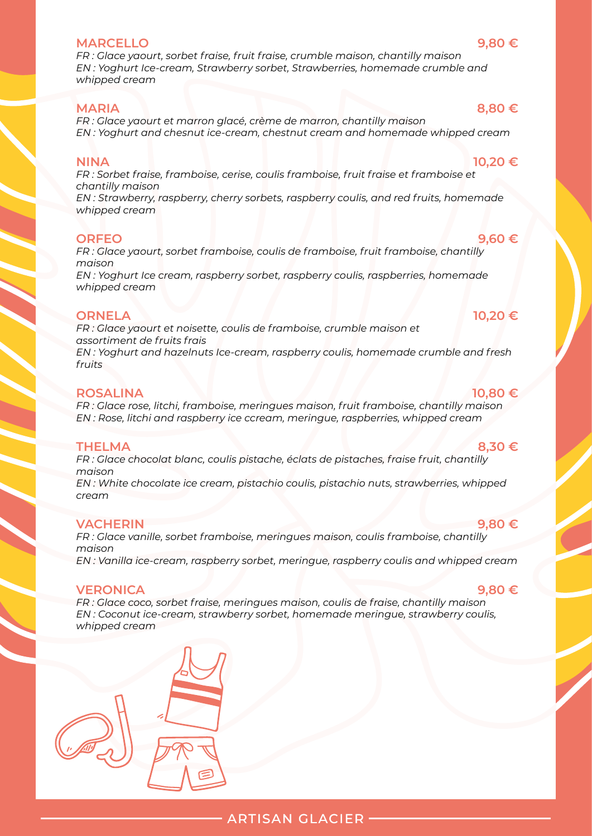### **MARCELLO 9,80 €**

*FR : Glace yaourt, sorbet fraise, fruit fraise, crumble maison, chantilly maison EN : Yoghurt Ice-cream, Strawberry sorbet, Strawberries, homemade crumble and whipped cream*

**MARIA 8,80 €** *FR : Glace yaourt et marron glacé, crème de marron, chantilly maison EN : Yoghurt and chesnut ice-cream, chestnut cream and homemade whipped cream*

*FR : Sorbet fraise, framboise, cerise, coulis framboise, fruit fraise et framboise et chantilly maison EN : Strawberry, raspberry, cherry sorbets, raspberry coulis, and red fruits, homemade whipped cream*

### **ORFEO 9,60 €**

*FR : Glace yaourt, sorbet framboise, coulis de framboise, fruit framboise, chantilly maison*

*EN : Yoghurt Ice cream, raspberry sorbet, raspberry coulis, raspberries, homemade whipped cream*

### **ORNELA 10,20 €**

*FR : Glace yaourt et noisette, coulis de framboise, crumble maison et assortiment de fruits frais EN : Yoghurt and hazelnuts Ice-cream, raspberry coulis, homemade crumble and fresh fruits*

### **ROSALINA 10,80 €**

*FR : Glace rose, litchi, framboise, meringues maison, fruit framboise, chantilly maison EN : Rose, litchi and raspberry ice ccream, meringue, raspberries, whipped cream*

### **THELMA 8,30 €**

*FR : Glace chocolat blanc, coulis pistache, éclats de pistaches, fraise fruit, chantilly maison EN : White chocolate ice cream, pistachio coulis, pistachio nuts, strawberries, whipped cream*

### **VACHERIN 9,80 €**

*FR : Glace vanille, sorbet framboise, meringues maison, coulis framboise, chantilly maison EN : Vanilla ice-cream, raspberry sorbet, meringue, raspberry coulis and whipped cream*

### **VERONICA 9,80 €**

*FR : Glace coco, sorbet fraise, meringues maison, coulis de fraise, chantilly maison EN : Coconut ice-cream, strawberry sorbet, homemade meringue, strawberry coulis, whipped cream*

### ARTISAN GLACIER



### **NINA 10,20 €**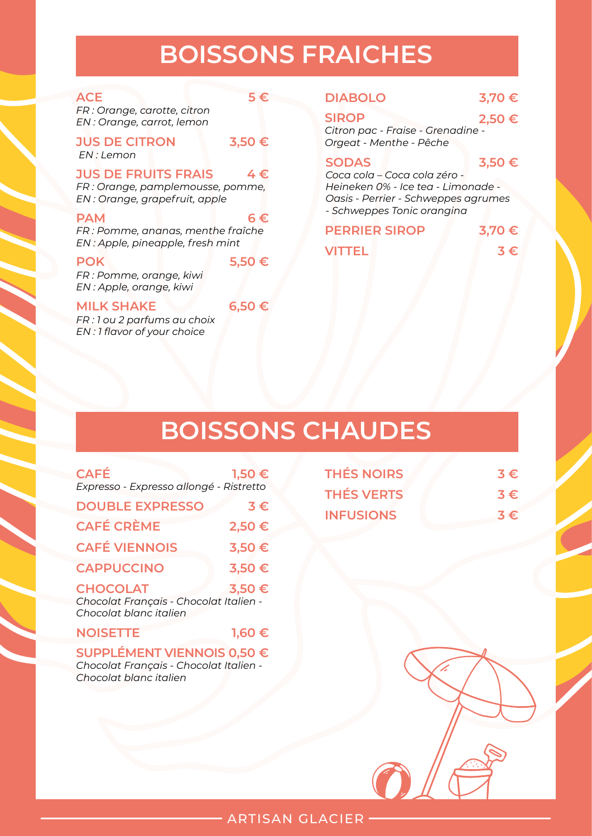## **BOISSONS FRAICHES**

### **ACE 5 €**

*FR : Orange, carotte, citron EN : Orange, carrot, lemon*

### **JUS DE CITRON 3,50 €**  *EN : Lemon*

### **JUS DE FRUITS FRAIS 4 €**

*FR : Orange, pamplemousse, pomme, EN : Orange, grapefruit, apple*

### **PAM 6 €**

*FR : Pomme, ananas, menthe fraîche EN : Apple, pineapple, fresh mint*

**POK 5,50 €**

**1,60 €**

### *FR : Pomme, orange, kiwi EN : Apple, orange, kiwi*

### **MILK SHAKE 6,50 €**

*FR : 1 ou 2 parfums au choix EN : 1 flavor of your choice*

### **DIABOLO 3,70 €**

### **SIROP**

 **2,50 €**

*Citron pac - Fraise - Grenadine - Orgeat - Menthe - Pêche* 

### **SODAS 3,50 €**

*Coca cola – Coca cola zéro - Heineken 0% - Ice tea - Limonade - Oasis - Perrier - Schweppes agrumes - Schweppes Tonic orangina*

| <b>PERRIER SIROP</b> | $3,70 \in$ |  |
|----------------------|------------|--|
| <b>VITTEL</b>        | $3 \in$    |  |

## **BOISSONS CHAUDES**

| <b>CAFÉ</b>                                                                         | <b>THÉS NOIRS</b><br>1,50€<br>Expresso - Expresso allongé - Ristretto |                                       |
|-------------------------------------------------------------------------------------|-----------------------------------------------------------------------|---------------------------------------|
| <b>DOUBLE EXPRESSO</b>                                                              | $3 \in$                                                               | <b>THÉS VERTS</b><br><b>INFUSIONS</b> |
| <b>CAFÉ CRÈME</b>                                                                   | 2,50 €                                                                |                                       |
| <b>CAFÉ VIENNOIS</b>                                                                | 3,50€                                                                 |                                       |
| <b>CAPPUCCINO</b>                                                                   | 3,50 €                                                                |                                       |
| <b>CHOCOLAT</b><br>Chocolat Français - Chocolat Italien -<br>Chocolat blanc italien | 3,50 €                                                                |                                       |

### **NOISETTE**

### **SUPPLÉMENT VIENNOIS 0,50 €**

*Chocolat Français - Chocolat Italien - Chocolat blanc italien*

| <b>THÉS NOIRS</b> | $3 \in$ |
|-------------------|---------|
| <b>THÉS VERTS</b> | $3 \in$ |
| <b>INFUSIONS</b>  | $3 \in$ |